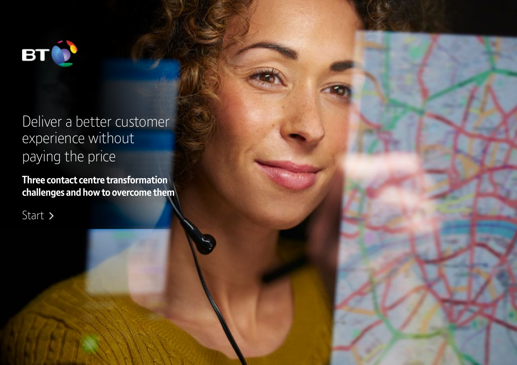

## Deliver a better customer experience without paying the price

**Three contact centre transformation challenges and how to overcome them**

Start >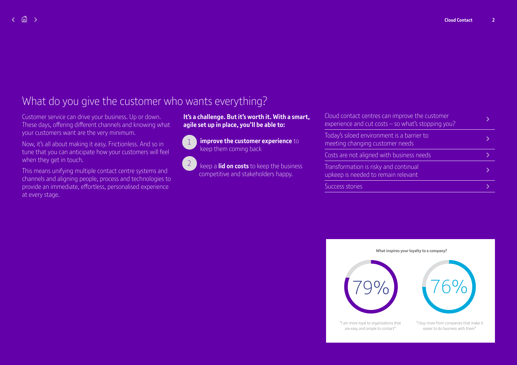## What do you give the customer who wants everything?

Customer service can drive your business. Up or down. These days, offering different channels and knowing what your customers want are the very minimum.

Now, it's all about making it easy. Frictionless. And so in tune that you can anticipate how your customers will feel when they get in touch.

This means unifying multiple contact centre systems and channels and aligning people, process and technologies to provide an immediate, effortless, personalised experience at every stage.

#### **It's a challenge. But it's worth it. With a smart, agile set up in place, you'll be able to:**



**improve the customer experience** to keep them coming back

keep a **lid on costs** to keep the business competitive and stakeholders happy.  $\sqrt{2}$ 

| Cloud contact centres can improve the customer<br>experience and cut costs $-$ so what's stopping you? |  |
|--------------------------------------------------------------------------------------------------------|--|
| Today's siloed environment is a barrier to<br>meeting changing customer needs                          |  |
| Costs are not aligned with business needs                                                              |  |
| Transformation is risky and continual<br>upkeep is needed to remain relevant                           |  |
| Success stories                                                                                        |  |
|                                                                                                        |  |

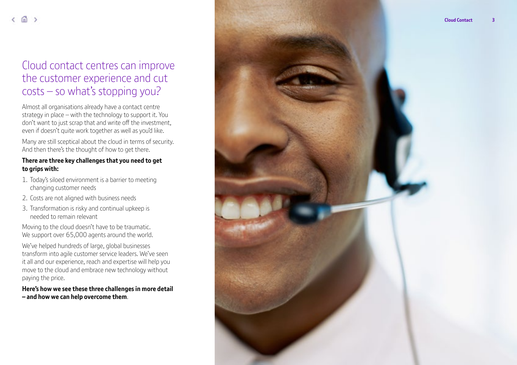### Cloud contact centres can improve the customer experience and cut costs – so what's stopping you?

Almost all organisations already have a contact centre strategy in place – with the technology to support it. You don't want to just scrap that and write off the investment, even if doesn't quite work together as well as you'd like.

Many are still sceptical about the cloud in terms of security. And then there's the thought of how to get there.

#### **There are three key challenges that you need to get to grips with:**

- 1. Today's siloed environment is a barrier to meeting changing customer needs
- 2. Costs are not aligned with business needs
- 3. Transformation is risky and continual upkeep is needed to remain relevant

Moving to the cloud doesn't have to be traumatic. We support over 65,000 agents around the world.

We've helped hundreds of large, global businesses transform into agile customer service leaders. We've seen it all and our experience, reach and expertise will help you move to the cloud and embrace new technology without paying the price.

**Here's how we see these three challenges in more detail – and how we can help overcome them** .

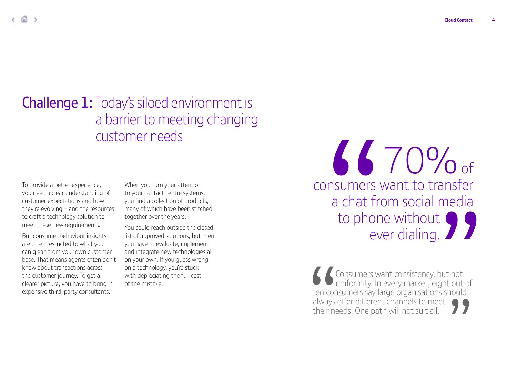**A4**

## **Challenge 1:** Today's siloed environment is a barrier to meeting changing customer needs

To provide a better experience, you need a clear understanding of customer expectations and how they're evolving – and the resources to craft a technology solution to meet these new requirements.

But consumer behaviour insights are often restricted to what you can glean from your own customer base. That means agents often don't know about transactions across the customer journey. To get a clearer picture, you have to bring in expensive third-party consultants.

When you turn your attention to your contact centre systems, you find a collection of products, many of which have been stitched together over the years.

You could reach outside the closed list of approved solutions, but then you have to evaluate, implement and integrate new technologies all on your own. If you guess wrong on a technology, you're stuck with depreciating the full cost of the mistake.

70% of consumers want to transfer a chat from social media to phone without Sammers want to transfer<br>
a chat from social media<br>
to phone without<br>
ever dialing.<br>
Sonsumers want consistency, but not<br>
Consumers want consistency, but not<br>
Consumers say large organisations should ever dialing.

Consumers want consistency, but not uniformity. In every market, eight out of ten consumers say large organisations should always offer different channels to meet  $\bigcap$ their needs. One path will not suit all.  $\left\{\begin{array}{c}\n\downarrow$  ten con<br>always<br>their ne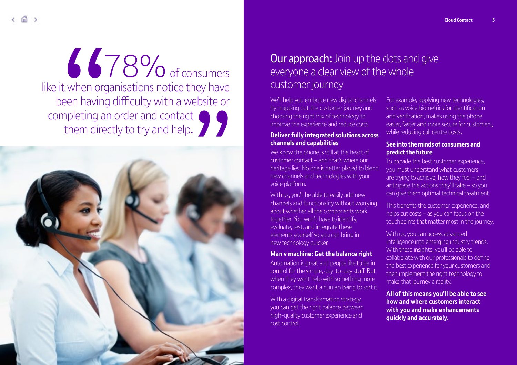# 78% of consumers like it when organisations notice they have been having difficulty with a website or completing an order and contact <sup>8</sup> 78% of consumers it when organisations notice they have been having difficulty with a website or mpleting an order and contact them directly to try and help. them directly to try and help.  $\blacksquare$



### **Our approach:** Join up the dots and give everyone a clear view of the whole customer journey

We'll help you embrace new digital channels by mapping out the customer journey and choosing the right mix of technology to improve the experience and reduce costs.

#### **Deliver fully integrated solutions across channels and capabilities**

We know the phone is still at the heart of customer contact – and that's where our heritage lies. No one is better placed to blend new channels and technologies with your voice platform.

With us, you'll be able to easily add new channels and functionality without worrying about whether all the components work together. You won't have to identify, evaluate, test, and integrate these elements yourself so you can bring in new technology quicker.

#### **Man v machine: Get the balance right**

Automation is great and people like to be in control for the simple, day-to-day stuff. But when they want help with something more complex, they want a human being to sort it.

With a digital transformation strategy. you can get the right balance between high-quality customer experience and cost control.

For example, applying new technologies, such as voice biometrics for identification and verification, makes using the phone easier, faster and more secure for customers, while reducing call centre costs.

#### **See into the minds of consumers and predict the future**

To provide the best customer experience, you must understand what customers are trying to achieve, how they feel – and anticipate the actions they'll take – so you can give them optimal technical treatment.

This benefits the customer experience, and helps cut costs  $-$  as you can focus on the touchpoints that matter most in the journey.

With us, you can access advanced intelligence into emerging industry trends. With these insights, you'll be able to collaborate with our professionals to define the best experience for your customers and then implement the right technology to make that journey a reality.

**All of this means you'll be able to see how and where customers interact with you and make enhancements quickly and accurately.**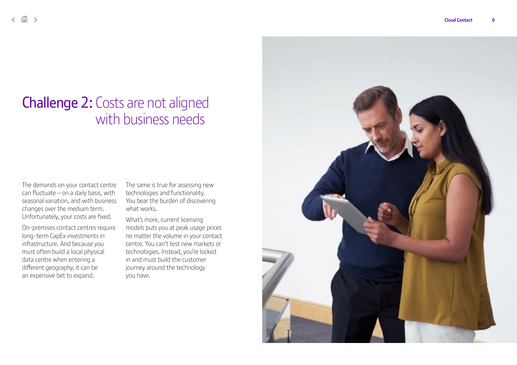## Challenge 2: Costs are not aligned with business needs

The demands on your contact centre can fluctuate – on a daily basis, with seasonal variation, and with business changes over the medium term. Unfortunately, your costs are fixed.

On-premises contact centres require long-term CapEx investments in infrastructure. And because you must often build a local physical data centre when entering a different geography, it can be an expensive bet to expand.

The same is true for assessing new technologies and functionality. You bear the burden of discovering what works.

What's more, current licensing models puts you at peak usage prices no matter the volume in your contact centre. You can't test new markets or technologies. Instead, you're locked in and must build the customer journey around the technology you have.

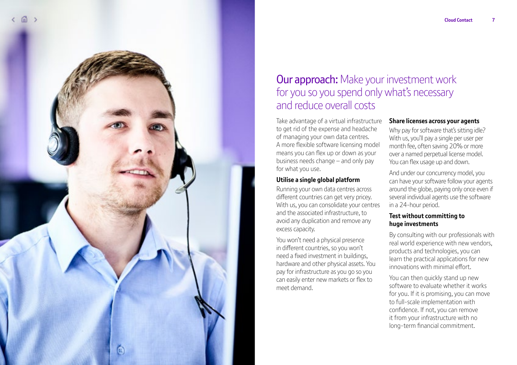**A7**



### **Our approach:** Make your investment work for you so you spend only what's necessary and reduce overall costs

Take advantage of a virtual infrastructure to get rid of the expense and headache of managing your own data centres. A more flexible software licensing model means you can flex up or down as your business needs change – and only pay for what you use.

#### **Utilise a single global platform**

Running your own data centres across different countries can get very pricey. With us, you can consolidate your centres and the associated infrastructure, to avoid any duplication and remove any excess capacity.

You won't need a physical presence in different countries, so you won't need a fixed investment in buildings, hardware and other physical assets. You pay for infrastructure as you go so you can easily enter new markets or flex to meet demand.

#### **Share licenses across your agents**

Why pay for software that's sitting idle? With us, you'll pay a single per user per month fee, often saving 20% or more over a named perpetual license model. You can flex usage up and down.

And under our concurrency model, you can have your software follow your agents around the globe, paying only once even if several individual agents use the software in a 24-hour period.

#### **Test without committing to huge investments**

By consulting with our professionals with real world experience with new vendors, products and technologies, you can learn the practical applications for new innovations with minimal effort.

You can then quickly stand up new software to evaluate whether it works for you. If it is promising, you can move to full-scale implementation with confidence. If not, you can remove it from your infrastructure with no long-term financial commitment.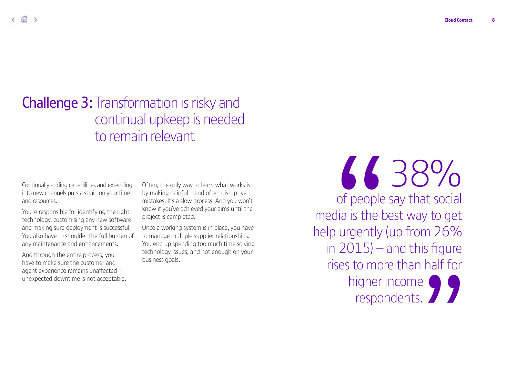## Challenge 3: Transformation is risky and continual upkeep is needed to remain relevant

Continually adding capabilities and extending into new channels puts a strain on your time and resources.

You're responsible for identifying the right technology, customising any new software and making sure deployment is successful. You also have to shoulder the full burden of any maintenance and enhancements.

And through the entire process, you have to make sure the customer and agent experience remains unaffected – unexpected downtime is not acceptable. Often, the only way to learn what works is by making painful – and often disruptive – mistakes. It's a slow process. And you won't know if you've achieved your aims until the project is completed.

Once a working system is in place, you have to manage multiple supplier relationships. You end up spending too much time solving technology issues, and not enough on your business goals.

6638% of people say that social media is the best way to get help urgently (up from 26% in 2015) – and this figure rises to more than half for higher income Samuel Contractor of people say that social<br>dia is the best way to get<br>o urgently (up from 26%<br>a 2015) – and this figure<br>ises to more than half for<br>higher income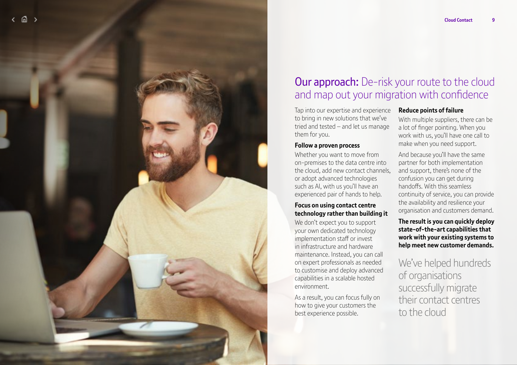

### **Our approach:** De-risk your route to the cloud and map out your migration with confidence

Tap into our expertise and experience to bring in new solutions that we've tried and tested – and let us manage them for you.

#### **Follow a proven process**

Whether you want to move from on-premises to the data centre into the cloud, add new contact channels, or adopt advanced technologies such as AI, with us you'll have an experienced pair of hands to help.

#### **Focus on using contact centre technology rather than building it**

We don't expect you to support your own dedicated technology implementation staff or invest in infrastructure and hardware maintenance. Instead, you can call on expert professionals as needed to customise and deploy advanced capabilities in a scalable hosted environment.

As a result, you can focus fully on how to give your customers the best experience possible.

#### **Reduce points of failure**

With multiple suppliers, there can be a lot of finger pointing. When you work with us, you'll have one call to make when you need support.

And because you'll have the same partner for both implementation and support, there's none of the confusion you can get during handoffs. With this seamless continuity of service, you can provide the availability and resilience your organisation and customers demand.

**The result is you can quickly deploy state-of-the-art capabilities that work with your existing systems to help meet new customer demands.**

### We've helped hundreds of organisations successfully migrate their contact centres to the cloud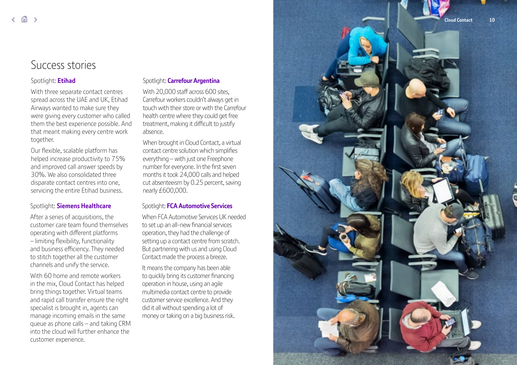### Success stories

#### Spotlight: **[Etihad](https://www.globalservices.bt.com/en/insights/case-studies/etihad-airways)**

With three separate contact centres spread across the UAE and UK, Etihad Airways wanted to make sure they were giving every customer who called them the best experience possible. And that meant making every centre work together.

Our flexible, scalable platform has helped increase productivity to 75% and improved call answer speeds by 30%. We also consolidated three disparate contact centres into one, servicing the entire Etihad business.

#### Spotlight: **[Siemens Healthcare](https://www.globalservices.bt.com/ch/fr/casestudy/siemens-healthcare)**

After a series of acquisitions, the customer care team found themselves operating with different platforms – limiting flexibility, functionality and business efficiency. They needed to stitch together all the customer channels and unify the service.

With 60 home and remote workers in the mix, Cloud Contact has helped bring things together. Virtual teams and rapid call transfer ensure the right specialist is brought in, agents can manage incoming emails in the same queue as phone calls – and taking CRM into the cloud will further enhance the customer experience.

#### Spotlight: **[Carrefour Argentina](https://www.globalservices.bt.com/en/insights/case-studies/carrefour-argentina)**

With 20,000 staff across 600 sites. Carrefour workers couldn't always get in touch with their store or with the Carrefour health centre where they could get free treatment, making it difficult to justify absence.

When brought in Cloud Contact, a virtual contact centre solution which simplifies everything – with just one Freephone number for everyone. In the first seven months it took 24,000 calls and helped cut absenteeism by 0.25 percent, saving nearly £600,000.

#### Spotlight: **[FCA Automotive Services](https://www.globalservices.bt.com/en/insights/case-studies/fca-automotive)**

When FCA Automotive Services UK needed to set up an all-new financial services operation, they had the challenge of setting up a contact centre from scratch. But partnering with us and using Cloud Contact made the process a breeze.

It means the company has been able to quickly bring its customer financing operation in house, using an agile multimedia contact centre to provide customer service excellence. And they did it all without spending a lot of money or taking on a big business risk.

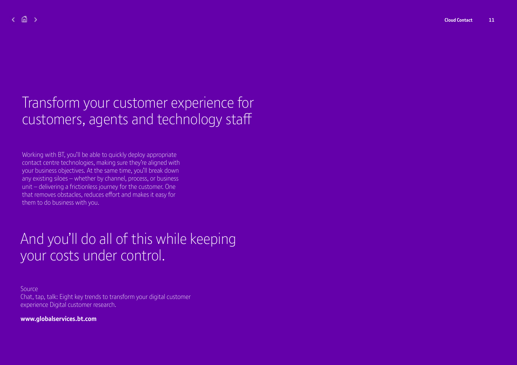## Transform your customer experience for customers, agents and technology staff

Working with BT, you'll be able to quickly deploy appropriate contact centre technologies, making sure they're aligned with your business objectives. At the same time, you'll break down any existing siloes – whether by channel, process, or business unit – delivering a frictionless journey for the customer. One that removes obstacles, reduces effort and makes it easy for them to do business with you.

## And you'll do all of this while keeping your costs under control.

[Source](https://www.globalservices.bt.com/en/insights/whitepapers/chat-tap-talk-transform-your-digital-customer-experience)  [Chat, tap, talk: Eight key trends to transform your digital customer](https://www.globalservices.bt.com/en/insights/whitepapers/chat-tap-talk-transform-your-digital-customer-experience)  [experience Digital customer research.](https://www.globalservices.bt.com/en/insights/whitepapers/chat-tap-talk-transform-your-digital-customer-experience)

**[www.globalservices.bt.com](http://www.globalservices.bt.com)**